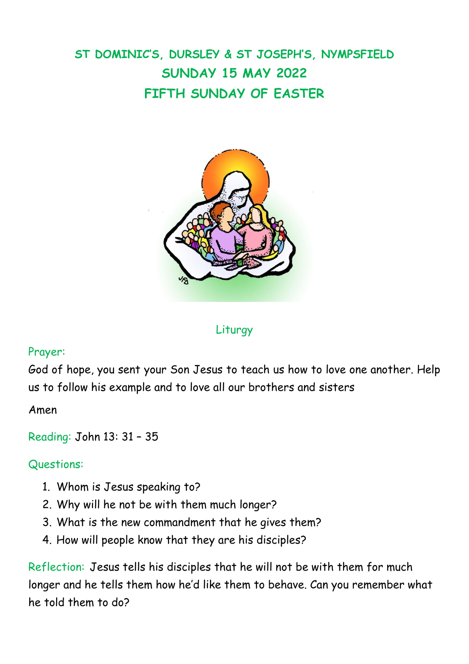# **ST DOMINIC'S, DURSLEY & ST JOSEPH'S, NYMPSFIELD SUNDAY 15 MAY 2022 FIFTH SUNDAY OF EASTER**



Liturgy

### Prayer:

God of hope, you sent your Son Jesus to teach us how to love one another. Help us to follow his example and to love all our brothers and sisters

Amen

Reading: John 13: 31 – 35

#### Questions:

- 1. Whom is Jesus speaking to?
- 2. Why will he not be with them much longer?
- 3. What is the new commandment that he gives them?
- 4. How will people know that they are his disciples?

Reflection: Jesus tells his disciples that he will not be with them for much longer and he tells them how he'd like them to behave. Can you remember what he told them to do?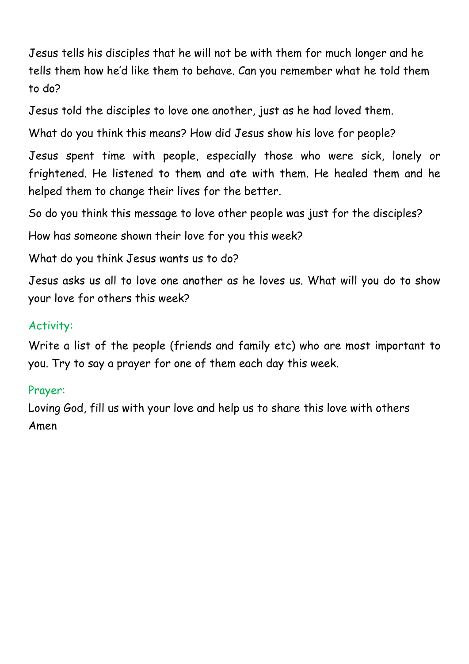Jesus tells his disciples that he will not be with them for much longer and he tells them how he'd like them to behave. Can you remember what he told them to do?

Jesus told the disciples to love one another, just as he had loved them.

What do you think this means? How did Jesus show his love for people?

Jesus spent time with people, especially those who were sick, lonely or frightened. He listened to them and ate with them. He healed them and he helped them to change their lives for the better.

So do you think this message to love other people was just for the disciples?

How has someone shown their love for you this week?

What do you think Jesus wants us to do?

Jesus asks us all to love one another as he loves us. What will you do to show your love for others this week?

# Activity:

Write a list of the people (friends and family etc) who are most important to you. Try to say a prayer for one of them each day this week.

## Prayer:

Loving God, fill us with your love and help us to share this love with others Amen